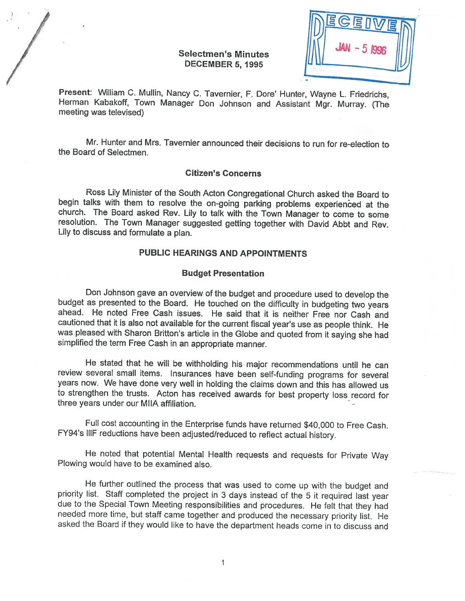# Selectmen's Minutes DECEMBER 5, 1995

|   | BCEIVE |  |
|---|--------|--|
| ₩ |        |  |
|   |        |  |

Present: William C. Mullin, Nancy C. Tavernier, F. Dore' Hunter, Wayne L. Friedrichs, Herman Kabakoff, Town Manager Don Johnson and Assistant Mgr. Murray. (The meeting was televised)

Mr. Hunter and Mrs. Tavernier announced their decisions to run for re-election to the Board of Selectmen.

## Citizen's Concerns

Ross Lily Minister of the South Acton Congregational Church asked the Board to begin talks with them to resolve the on-going parking problems experienced at the church. The Board asked Rev. Lily to talk with the Town Manager to come to some resolution. The Town Manager suggested getting together with David Abbt and Rev. Lily to discuss and formulate <sup>a</sup> <sup>p</sup>lan.

# PUBLIC HEARINGS AND APPOINTMENTS

#### Budget Presentation

Don Johnson gave an overview of the budget and procedure used to develop the budget as presented to the Board. He touched on the difficulty in budgeting two years ahead. He noted Free Cash issues. He said that it is neithe cautioned that it is also not available for the current fiscal year's use as people think. He was <sup>p</sup>leased with Sharon Britton's article in the Globe and quoted from it saying she had simplified the term Free Cash in an appropriate manner.

He stated that he will be withholding his major recommendations until he can review several small items. Insurances have been self-funding programs for several years now. We have done very well in holding the claims down and this has allowed us to strengthen the trusts. Acton has received awards for best property loss record for three years under our MIIA affiliation. -

Full cost accounting in the Enterprise funds have returned \$40,000 to Free Cash. FY94's IIIF reductions have been adjusted/reduced to reflect actual history.

He noted that potential Mental Health requests and requests for Private Way Plowing would have to be examined also.

He further outlined the process that was used to come up with the budget and priority list. Staff completed the project in 3 days instead of the 5 it required last year due to the Special Town Meeting responsibilities and procedures. He felt that they had<br>needed more time, but staff came together and produced the necessary priority list. He<br>asked the Board if they would like to have the d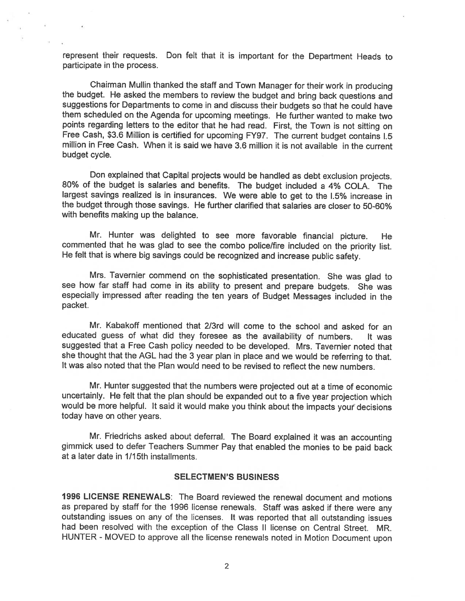represent their requests. Don felt that it is important for the Department Heads to participate in the process.

Chairman Mullin thanked the staff and Town Manager for their work in producing the budget. He asked the members to review the budget and bring back questions and suggestions for Departments to come in and discuss their budgets so that he could have them scheduled on the Agenda for upcoming meetings. He further wanted to make two points regarding letters to the editor that he had read. First, the Town is not sitting on Free Cash, \$3.6 Million is certified for upcoming FY97. The current budget contains 1.5 million in Free Cash. When it is said we have 3.6 million it is not available in the current budget cycle.

Don explained that Capital projects would be handled as debt exclusion projects. 80% of the budget is salaries and benefits. The budget included <sup>a</sup> 4% COLA. The largest savings realized is in insurances. We were able to get to the 1.5% increase in the budget through those savings. He further clarified that salaries are closer to 50-60% with benefits making up the balance.

Mr. Hunter was delighted to see more favorable financial <sup>p</sup>icture. He commented that he was <sup>g</sup>lad to see the combo police/fire included on the priority list. He felt that is where big savings could be recognized and increase public safety.

Mrs. Tavernier commend on the sophisticated presentation. She was <sup>g</sup>lad to see how far staff had come in its ability to present and prepare budgets. She was especially impressed after reading the ten years of Budget Messages included in the packet.

Mr. Kabakoff mentioned that 2/3rd will come to the school and asked for an educated guess of what did they foresee as the availability of numbers. It was suggested that <sup>a</sup> Free Cash policy needed to be developed. Mrs. Tavernier noted that she thought that the AGL had the <sup>3</sup> year <sup>p</sup>lan in <sup>p</sup>lace and we would be referring to that. It was also noted that the Plan would need to be revised to reflect the new numbers.

Mr. Hunter suggested that the numbers were projected out at <sup>a</sup> time of economic uncertainly. He felt that the <sup>p</sup>lan should be expanded out to <sup>a</sup> five year projection which would be more helpful. It said it would make you think about the impacts your decisions today have on other years.

Mr. Friedrichs asked about deferral. The Board explained it was an accounting <sup>g</sup>immick used to defer Teachers Summer Pay that enabled the monies to be paid back at <sup>a</sup> later date in 1/15th installments.

## SELECTMEN'S BUSINESS

1996 LICENSE RENEWALS: The Board reviewed the renewal document and motions as prepared by staff for the <sup>1996</sup> license renewals. Staff was asked if there were any outstanding issues on any of the licenses. It was reported that all outstanding issues had been resolved with the exception of the Class II license on Central Street. MR. HUNTER -MOVED to approve all the license renewals noted in Motion Document upon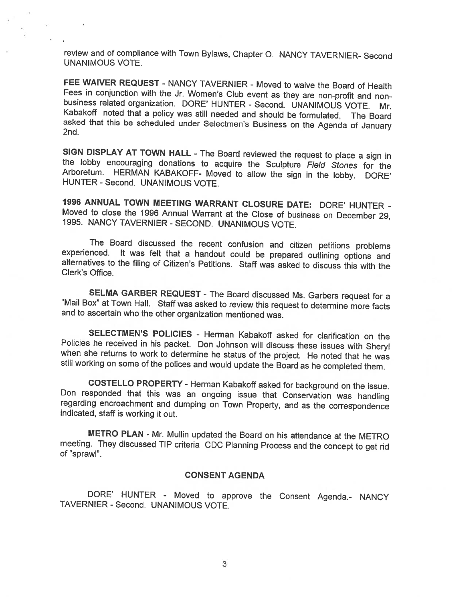review and of compliance with Town Bylaws, Chapter 0. NANCY TAVERNIER- Second UNANIMOUS VOTE.

FEE WAIVER REQUEST - NANCY TAVERNIER - Moved to waive the Board of Health<br>Fees in conjunction with the Jr. Women's Club event as they are non-profit and nonbusiness related organization. DORE' HUNTER - Second. UNANIMOUS VOTE. Mr.<br>Kabakoff noted that a policy was still needed and should be formulated. The Board<br>asked that this be scheduled under Selectmen's Business on the Age

SIGN DISPLAY AT TOWN HALL - The Board reviewed the request to place a sign in the lobby encouraging donations to acquire the Sculpture *Field Stones* for the Arboretum. HERMAN KABAKOFF- Moved to allow the sign in the lobby

<sup>1996</sup> ANNUAL TOWN MEETING WARRANT CLOSURE DATE: DORE' HUNTER - Moved to close the 1996 Annual Warrant at the Close of business on December 29, 1995. NANCY TAVERNIER - SECOND. UNANIMOUS VOTE.

The Board discussed the recent confusion and citizen petitions problems experienced. It was felt that a handout could be prepared outlining options and alternatives to the filing of Citizen's Petitions. Staff was asked to discuss this with the Clerk's Office.

SELMA GARBER REQUEST - The Board discussed Ms. Garbers request for a "Mail Box" at Town Hall. Staff was asked to review this request to determine more facts and to ascertain who the other organization mentioned was.

SELECTMEN'S POLICIES - Herman Kabakoff asked for clarification on the Policies he received in his packet. Don Johnson will discuss these issues with Sheryl when she returns to work to determine he status of the project. He noted that he was still working on some of the polices and would update the Board as he completed them.

COSTELLO PROPERTY - Herman Kabakoff asked for background on the issue.<br>Don responded that this was an ongoing issue that Conservation was handling<br>regarding encroachment and dumping on Town Property, and as the corresponde

METRO PLAN - Mr. Mullin updated the Board on his attendance at the METRO meeting. They discussed TIP criteria CDC Planning Process and the concept to get rid of "sprawl".

## CONSENT AGENDA

DORE' HUNTER - Moved to approve the Consent Agenda.- NANCY TAVERNIER - Second. UNANIMOUS VOTE.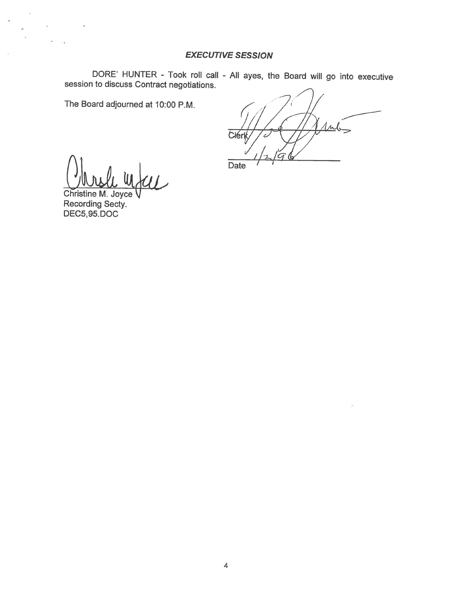# **EXECUTIVE SESSION**

DORE' HUNTER - Took roll call - All ayes, the Board will go into executive session to discuss Contract negotiations.

The Board adjourned at 10:00 P.M.

 $1<sub>1</sub>$ **Clérk** z.

Date

Christine M. Joyce Recording Secty.<br>DEC5,95.DOC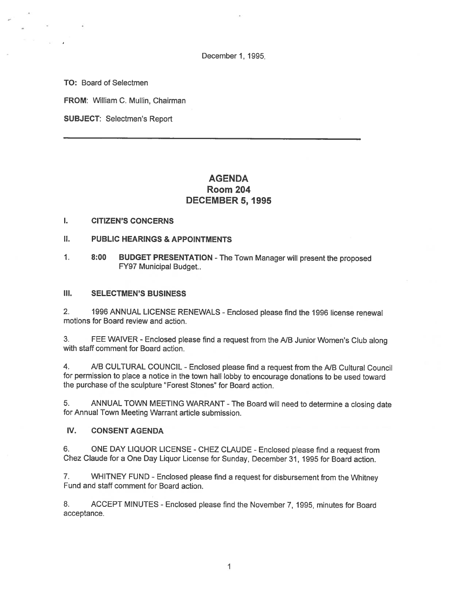December 1, 1995,

TO: Board of Selectmen

FROM: William C. Mullin, Chairman

SUBJECT: Selectmen's Report

# AGENDA Room 204 DECEMBER 5, 1995

#### I. CITIZEN'S CONCERNS

## II. PUBLIC HEARINGS & APPOINTMENTS

1. 8:00 BUDGET PRESENTATION -The Town Manager will presen<sup>t</sup> the propose<sup>d</sup> FY97 Municipal Budget..

### III. SELECTMEN'S BUSINESS

2. <sup>1996</sup> ANNUAL LICENSE RENEWALS -Enclosed <sup>p</sup>lease find the <sup>1996</sup> license renewal motions for Board review and action.

3. FEE WAIVER - Enclosed <sup>p</sup>lease find <sup>a</sup> reques<sup>t</sup> from the NB Junior Women's Club along with staff comment for Board action.

4. A/B CULTURAL COUNCIL - Enclosed please find a request from the A/B Cultural Council for permission to <sup>p</sup>lace <sup>a</sup> notice in the town hall lobby to encourage donations to be used toward the purchase of the sculpture "Forest Stones" for Board action.

5. ANNUAL TOWN MEETING WARRANT -The Board will need to determine <sup>a</sup> closing date for Annual Town Meeting Warrant article submission.

#### IV. CONSENT AGENDA

6. ONE DAY LIQUOR LICENSE -CHEZ CLAUDE -Enclosed <sup>p</sup>lease find <sup>a</sup> reques<sup>t</sup> from Chez Claude for <sup>a</sup> One Day Liquor License for Sunday, December 31, 1995 for Board action.

7. WHITNEY FUND -Enclosed <sup>p</sup>lease find <sup>a</sup> reques<sup>t</sup> for disbursement from the Whitney Fund and staff comment for Board action.

8. ACCEPT MINUTES - Enclosed please find the November 7, 1995, minutes for Board acceptance.